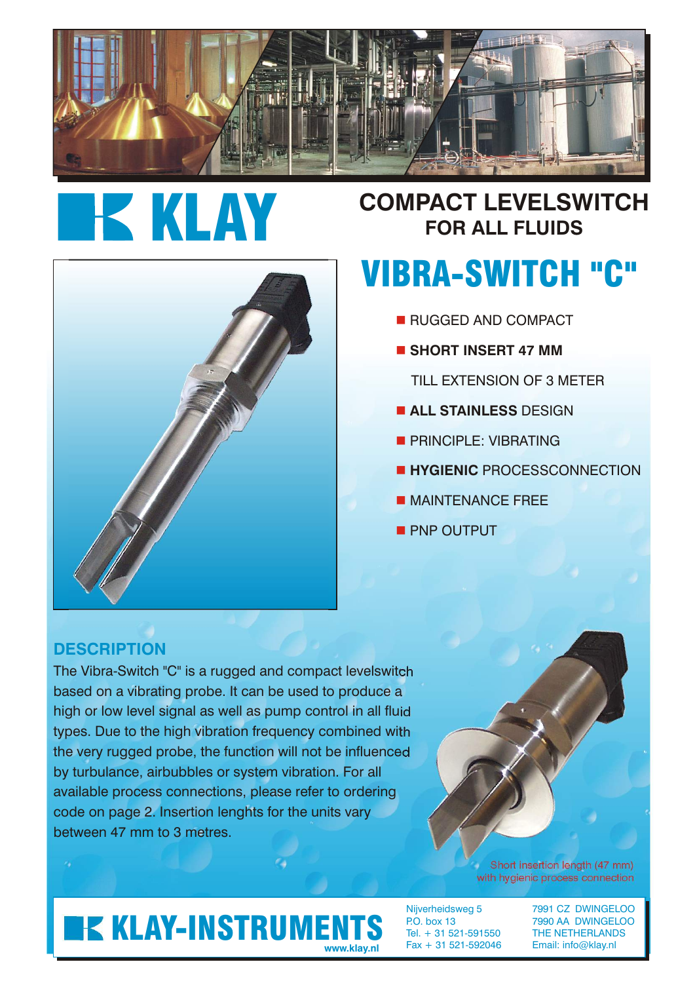

# **IKKLAY**

## **COMPACT LEVELSWITCH FOR ALL FLUIDS**

# VIBRA-SWITCH "C"

- **RUGGED AND COMPACT**
- $\blacksquare$  **SHORT INSERT 47 MM** 
	- TILL EXTENSION OF 3 METER
- **E ALL STAINLESS DESIGN**
- **PRINCIPLE: VIBRATING**
- **E HYGIENIC PROCESSCONNECTION**
- **NAINTENANCE FREE**
- **PNP OUTPUT**

#### **DESCRIPTION**

The Vibra-Switch "C" is a rugged and compact levelswitch based on a vibrating probe. It can be used to produce a high or low level signal as well as pump control in all fluid types. Due to the high vibration frequency combined with the very rugged probe, the function will not be influenced by turbulance, airbubbles or system vibration. For all available process connections, please refer to ordering code on page 2. Insertion lenghts for the units vary between 47 mm to 3 metres.

> Short insertion length (47 mm) with hygienic process connection

## **KLAY-INSTRUMENTS**

Tel. + 31 521-591550 THE NETHERLANDS Fax + 31 521-592046 Email: info@klay.nl **www.klay.nl**

Nijverheidsweg 5 7991 CZ DWINGELOO<br>P.O. box 13 7990 AA DWINGELOO 7990 AA DWINGELOO